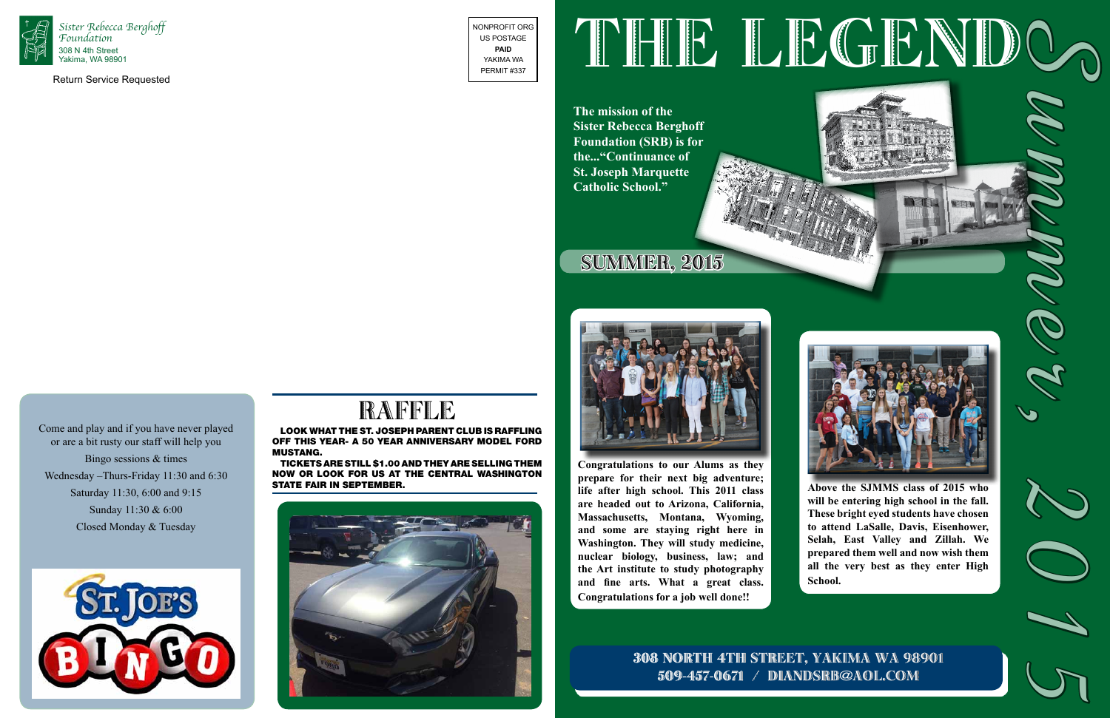

Return Service Requested

NONPROFIT ORG US POSTAGE **PAID** YAKIMA WA PERMIT #337

Tickets are still \$1.00 and they are selling them NOW or look for us at the Central Washington STATE FAIR IN SEPTEMBER.





**The mission of the Sister Rebecca Berghoff Foundation (SRB) is for the..."Continuance of St. Joseph Marquette Catholic School."**



# SUMMER, 2015



# RAFFLE

Look what the St. Joseph Parent Club is raffling off this year- a 50 year anniversary model Ford Mustang.

Come and play and if you have never played

or are a bit rusty our staff will help you Bingo sessions & times Wednesday –Thurs-Friday 11:30 and 6:30 Saturday 11:30, 6:00 and 9:15 Sunday 11:30 & 6:00

Closed Monday & Tuesday



# 308 NORTH 4TH STREET, YAKIMA WA 98901 509-457-0671 / diandsrb@aol.com









# THE LEGENDO? Summer, 2015

**Above the SJMMS class of 2015 who will be entering high school in the fall. These bright eyed students have chosen to attend LaSalle, Davis, Eisenhower, Selah, East Valley and Zillah. We prepared them well and now wish them all the very best as they enter High School.** 

**Congratulations to our Alums as they prepare for their next big adventure; life after high school. This 2011 class are headed out to Arizona, California, Massachusetts, Montana, Wyoming, and some are staying right here in Washington. They will study medicine, nuclear biology, business, law; and the Art institute to study photography and fine arts. What a great class. Congratulations for a job well done!!**